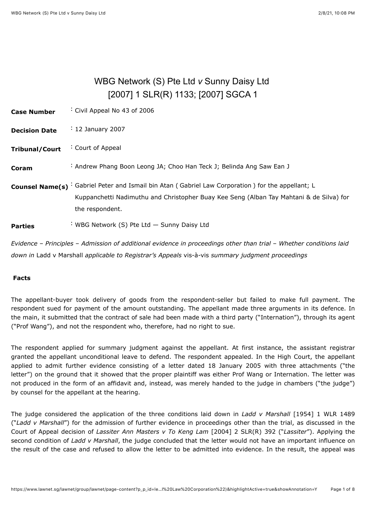# WBG Network (S) Pte Ltd *v* Sunny Daisy Ltd [\[2007\] 1 SLR\(R\) 1133;](javascript:viewPageContent() [\[2007\] SGCA 1](javascript:viewPageContent()

<span id="page-0-0"></span>

| <b>Case Number</b>     | Civil Appeal No 43 of 2006                                                                                                                                                                       |
|------------------------|--------------------------------------------------------------------------------------------------------------------------------------------------------------------------------------------------|
| <b>Decision Date</b>   | $\div$ 12 January 2007                                                                                                                                                                           |
| <b>Tribunal/Court</b>  | Court of Appeal                                                                                                                                                                                  |
| Coram                  | : Andrew Phang Boon Leong JA; Choo Han Teck J; Belinda Ang Saw Ean J                                                                                                                             |
| <b>Counsel Name(s)</b> | : Gabriel Peter and Ismail bin Atan (Gabriel Law Corporation) for the appellant; L<br>Kuppanchetti Nadimuthu and Christopher Buay Kee Seng (Alban Tay Mahtani & de Silva) for<br>the respondent. |
| <b>Parties</b>         | : WBG Network (S) Pte Ltd - Sunny Daisy Ltd                                                                                                                                                      |

*Evidence* – *Principles* – *Admission of additional evidence in proceedings other than trial* – *Whether conditions laid down in* Ladd v Marshall *applicable to Registrar's Appeals* vis-à-vis *summary judgment proceedings*

### **Facts**

The appellant-buyer took delivery of goods from the respondent-seller but failed to make full payment. The respondent sued for payment of the amount outstanding. The appellant made three arguments in its defence. In the main, it submitted that the contract of sale had been made with a third party ("Internation"), through its agent ("Prof Wang"), and not the respondent who, therefore, had no right to sue.

The respondent applied for summary judgment against the appellant. At first instance, the assistant registrar granted the appellant unconditional leave to defend. The respondent appealed. In the High Court, the appellant applied to admit further evidence consisting of a letter dated 18 January 2005 with three attachments ("the letter") on the ground that it showed that the proper plaintiff was either Prof Wang or Internation. The letter was not produced in the form of an affidavit and, instead, was merely handed to the judge in chambers ("the judge") by counsel for the appellant at the hearing.

The judge considered the application of the three conditions laid down in *Ladd v Marshall* [\[1954\] 1 WLR 1489](javascript:viewPageContent() ("*Ladd v Marshall*") for the admission of further evidence in proceedings other than the trial, as discussed in the Court of Appeal decision of *Lassiter Ann Masters v To Keng Lam* [\[2004\] 2 SLR\(R\) 392](javascript:viewPageContent() ("*Lassiter*"). Applying the second condition of *Ladd v Marshall*, the judge concluded that the letter would not have an important influence on the result of the case and refused to allow the letter to be admitted into evidence. In the result, the appeal was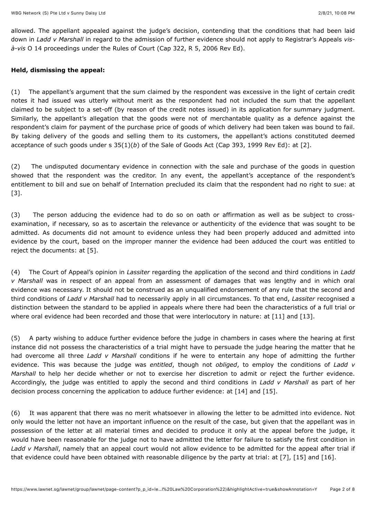allowed. The appellant appealed against the judge's decision, contending that the conditions that had been laid down in *Ladd v Marshall* in regard to the admission of further evidence should not apply to Registrar's Appeals *visà-vis* O 14 proceedings under the Rules of Court (Cap 322, R 5, 2006 Rev Ed).

#### **Held, dismissing the appeal:**

(1) The appellant's argument that the sum claimed by the respondent was excessive in the light of certain credit notes it had issued was utterly without merit as the respondent had not included the sum that the appellant claimed to be subject to a set-off (by reason of the credit notes issued) in its application for summary judgment. Similarly, the appellant's allegation that the goods were not of merchantable quality as a defence against the respondent's claim for payment of the purchase price of goods of which delivery had been taken was bound to fail. By taking delivery of the goods and selling them to its customers, the appellant's actions constituted deemed acceptance of such goods under s 35(1)(*b*) of the Sale of Goods Act (Cap 393, 1999 Rev Ed): at [\[2\]](#page-2-0).

(2) The undisputed documentary evidence in connection with the sale and purchase of the goods in question showed that the respondent was the creditor. In any event, the appellant's acceptance of the respondent's entitlement to bill and sue on behalf of Internation precluded its claim that the respondent had no right to sue: at [\[3\].](#page-3-0)

(3) The person adducing the evidence had to do so on oath or affirmation as well as be subject to crossexamination, if necessary, so as to ascertain the relevance or authenticity of the evidence that was sought to be admitted. As documents did not amount to evidence unless they had been properly adduced and admitted into evidence by the court, based on the improper manner the evidence had been adduced the court was entitled to reject the documents: at [\[5\]](#page-4-0).

(4) The Court of Appeal's opinion in *Lassiter* regarding the application of the second and third conditions in *Ladd v Marshall* was in respect of an appeal from an assessment of damages that was lengthy and in which oral evidence was necessary. It should not be construed as an unqualified endorsement of any rule that the second and third conditions of *Ladd v Marshall* had to necessarily apply in all circumstances. To that end, *Lassiter* recognised a distinction between the standard to be applied in appeals where there had been the characteristics of a full trial or where oral evidence had been recorded and those that were interlocutory in nature: at [\[11\]](#page-5-0) and [\[13\]](#page-6-0).

(5) A party wishing to adduce further evidence before the judge in chambers in cases where the hearing at first instance did not possess the characteristics of a trial might have to persuade the judge hearing the matter that he had overcome all three *Ladd v Marshall* conditions if he were to entertain any hope of admitting the further evidence. This was because the judge was *entitled*, though not *obliged*, to employ the conditions of *Ladd v Marshall* to help her decide whether or not to exercise her discretion to admit or reject the further evidence. Accordingly, the judge was entitled to apply the second and third conditions in *Ladd v Marshall* as part of her decision process concerning the application to adduce further evidence: at [\[14\]](#page-6-1) and [\[15\]](#page-6-2).

(6) It was apparent that there was no merit whatsoever in allowing the letter to be admitted into evidence. Not only would the letter not have an important influence on the result of the case, but given that the appellant was in possession of the letter at all material times and decided to produce it only at the appeal before the judge, it would have been reasonable for the judge not to have admitted the letter for failure to satisfy the first condition in *Ladd v Marshall*, namely that an appeal court would not allow evidence to be admitted for the appeal after trial if that evidence could have been obtained with reasonable diligence by the party at trial: at [\[7\],](#page-4-1) [\[15\]](#page-6-2) and [\[16\]](#page-6-3).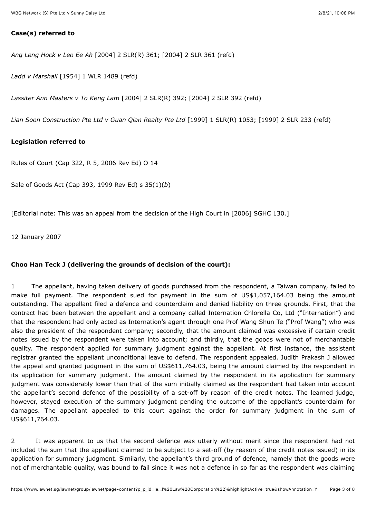## **Case(s) referred to**

*Ang Leng Hock v Leo Ee Ah* [\[2004\] 2 SLR\(R\) 361;](javascript:viewPageContent() [\[2004\] 2 SLR 361](javascript:viewPageContent() (refd)

*Ladd v Marshall* [\[1954\] 1 WLR 1489](javascript:viewPageContent() (refd)

*Lassiter Ann Masters v To Keng Lam* [\[2004\] 2 SLR\(R\) 392](javascript:viewPageContent(); [\[2004\] 2 SLR 392](javascript:viewPageContent() (refd)

*Lian Soon Construction Pte Ltd v Guan Qian Realty Pte Ltd* [\[1999\] 1 SLR\(R\) 1053](javascript:viewPageContent(); [1999] 2 SLR 233 (refd)

# **Legislation referred to**

Rules of Court (Cap 322, R 5, 2006 Rev Ed) O 14

Sale of Goods Act (Cap 393, 1999 Rev Ed) s 35(1)(*b*)

[Editorial note: This was an appeal from the decision of the High Court in [\[2006\] SGHC 130](javascript:viewPageContent().]

12 January 2007

#### **Choo Han Teck J (delivering the grounds of decision of the court):**

1 The appellant, having taken delivery of goods purchased from the respondent, a Taiwan company, failed to make full payment. The respondent sued for payment in the sum of US\$1,057,164.03 being the amount outstanding. The appellant filed a defence and counterclaim and denied liability on three grounds. First, that the contract had been between the appellant and a company called Internation Chlorella Co, Ltd ("Internation") and that the respondent had only acted as Internation's agent through one Prof Wang Shun Te ("Prof Wang") who was also the president of the respondent company; secondly, that the amount claimed was excessive if certain credit notes issued by the respondent were taken into account; and thirdly, that the goods were not of merchantable quality. The respondent applied for summary judgment against the appellant. At first instance, the assistant registrar granted the appellant unconditional leave to defend. The respondent appealed. Judith Prakash J allowed the appeal and granted judgment in the sum of US\$611,764.03, being the amount claimed by the respondent in its application for summary judgment. The amount claimed by the respondent in its application for summary judgment was considerably lower than that of the sum initially claimed as the respondent had taken into account the appellant's second defence of the possibility of a set-off by reason of the credit notes. The learned judge, however, stayed execution of the summary judgment pending the outcome of the appellant's counterclaim for damages. The appellant appealed to this court against the order for summary judgment in the sum of US\$611,764.03.

<span id="page-2-0"></span>2 It was apparent to us that the second defence was utterly without merit since the respondent had not included the sum that the appellant claimed to be subject to a set-off (by reason of the credit notes issued) in its application for summary judgment. Similarly, the appellant's third ground of defence, namely that the goods were not of merchantable quality, was bound to fail since it was not a defence in so far as the respondent was claiming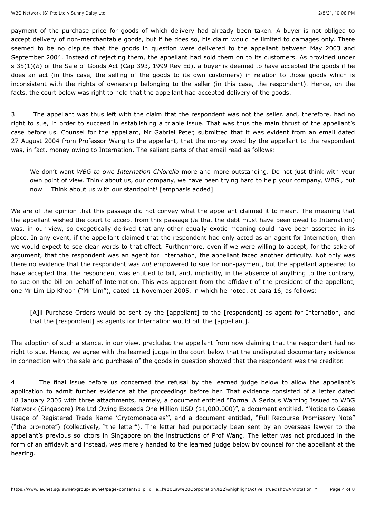payment of the purchase price for goods of which delivery had already been taken. A buyer is not obliged to accept delivery of non-merchantable goods, but if he does so, his claim would be limited to damages only. There seemed to be no dispute that the goods in question were delivered to the appellant between May 2003 and September 2004. Instead of rejecting them, the appellant had sold them on to its customers. As provided under s 35(1)(*b*) of the Sale of Goods Act (Cap 393, 1999 Rev Ed), a buyer is deemed to have accepted the goods if he does an act (in this case, the selling of the goods to its own customers) in relation to those goods which is inconsistent with the rights of ownership belonging to the seller (in this case, the respondent). Hence, on the facts, the court below was right to hold that the appellant had accepted delivery of the goods.

<span id="page-3-0"></span>3 The appellant was thus left with the claim that the respondent was not the seller, and, therefore, had no right to sue, in order to succeed in establishing a triable issue. That was thus the main thrust of the appellant's case before us. Counsel for the appellant, Mr Gabriel Peter, submitted that it was evident from an email dated 27 August 2004 from Professor Wang to the appellant, that the money owed by the appellant to the respondent was, in fact, money owing to Internation. The salient parts of that email read as follows:

We don't want *WBG to owe Internation Chlorella* more and more outstanding. Do not just think with your own point of view. Think about us, our company, we have been trying hard to help your company, WBG., but now … Think about us with our standpoint! [emphasis added]

We are of the opinion that this passage did not convey what the appellant claimed it to mean. The meaning that the appellant wished the court to accept from this passage (*ie* that the debt must have been owed to Internation) was, in our view, so exegetically derived that any other equally exotic meaning could have been asserted in its place. In any event, if the appellant claimed that the respondent had only acted as an agent for Internation, then we would expect to see clear words to that effect. Furthermore, even if we were willing to accept, for the sake of argument, that the respondent was an agent for Internation, the appellant faced another difficulty. Not only was there no evidence that the respondent was *not* empowered to sue for non-payment, but the appellant appeared to have accepted that the respondent was entitled to bill, and, implicitly, in the absence of anything to the contrary, to sue on the bill on behalf of Internation. This was apparent from the affidavit of the president of the appellant, one Mr Lim Lip Khoon ("Mr Lim"), dated 11 November 2005, in which he noted, at para 16, as follows:

[A]ll Purchase Orders would be sent by the [appellant] to the [respondent] as agent for Internation, and that the [respondent] as agents for Internation would bill the [appellant].

The adoption of such a stance, in our view, precluded the appellant from now claiming that the respondent had no right to sue. Hence, we agree with the learned judge in the court below that the undisputed documentary evidence in connection with the sale and purchase of the goods in question showed that the respondent was the creditor.

4 The final issue before us concerned the refusal by the learned judge below to allow the appellant's application to admit further evidence at the proceedings before her. That evidence consisted of a letter dated 18 January 2005 with three attachments, namely, a document entitled "Formal & Serious Warning Issued to WBG Network (Singapore) Pte Ltd Owing Exceeds One Million USD (\$1,000,000)", a document entitled, "Notice to Cease Usage of Registered Trade Name 'Crytomonadales'", and a document entitled, "Full Recourse Promissory Note" ("the pro-note") (collectively, "the letter"). The letter had purportedly been sent by an overseas lawyer to the appellant's previous solicitors in Singapore on the instructions of Prof Wang. The letter was not produced in the form of an affidavit and instead, was merely handed to the learned judge below by counsel for the appellant at the hearing.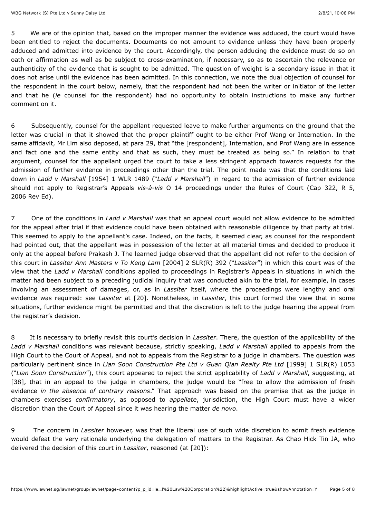<span id="page-4-0"></span>5 We are of the opinion that, based on the improper manner the evidence was adduced, the court would have been entitled to reject the documents. Documents do not amount to evidence unless they have been properly adduced and admitted into evidence by the court. Accordingly, the person adducing the evidence must do so on oath or affirmation as well as be subject to cross-examination, if necessary, so as to ascertain the relevance or authenticity of the evidence that is sought to be admitted. The question of weight is a secondary issue in that it does not arise until the evidence has been admitted. In this connection, we note the dual objection of counsel for the respondent in the court below, namely, that the respondent had not been the writer or initiator of the letter and that he (*ie* counsel for the respondent) had no opportunity to obtain instructions to make any further comment on it.

6 Subsequently, counsel for the appellant requested leave to make further arguments on the ground that the letter was crucial in that it showed that the proper plaintiff ought to be either Prof Wang or Internation. In the same affidavit, Mr Lim also deposed, at para 29, that "the [respondent], Internation, and Prof Wang are in essence and fact one and the same entity and that as such, they must be treated as being so." In relation to that argument, counsel for the appellant urged the court to take a less stringent approach towards requests for the admission of further evidence in proceedings other than the trial. The point made was that the conditions laid down in *Ladd v Marshall* [\[1954\] 1 WLR 1489](javascript:viewPageContent() ("*Ladd v Marshall*") in regard to the admission of further evidence should not apply to Registrar's Appeals *vis-à-vis* O 14 proceedings under the Rules of Court (Cap 322, R 5, 2006 Rev Ed).

<span id="page-4-1"></span>7 One of the conditions in *Ladd v Marshall* was that an appeal court would not allow evidence to be admitted for the appeal after trial if that evidence could have been obtained with reasonable diligence by that party at trial. This seemed to apply to the appellant's case. Indeed, on the facts, it seemed clear, as counsel for the respondent had pointed out, that the appellant was in possession of the letter at all material times and decided to produce it only at the appeal before Prakash J. The learned judge observed that the appellant did not refer to the decision of this court in *Lassiter Ann Masters v To Keng Lam* [\[2004\] 2 SLR\(R\) 392](javascript:viewPageContent() ("*Lassiter*") in which this court was of the view that the *Ladd v Marshall* conditions applied to proceedings in Registrar's Appeals in situations in which the matter had been subject to a preceding judicial inquiry that was conducted akin to the trial, for example, in cases involving an assessment of damages, or, as in *Lassiter* itself, where the proceedings were lengthy and oral evidence was required: see *Lassiter* at [20]. Nonetheless, in *Lassiter*, this court formed the view that in some situations, further evidence might be permitted and that the discretion is left to the judge hearing the appeal from the registrar's decision.

8 It is necessary to briefly revisit this court's decision in *Lassiter*. There, the question of the applicability of the *Ladd v Marshall* conditions was relevant because, strictly speaking, *Ladd v Marshall* applied to appeals from the High Court to the Court of Appeal, and not to appeals from the Registrar to a judge in chambers. The question was particularly pertinent since in *Lian Soon Construction Pte Ltd v Guan Qian Realty Pte Ltd* [\[1999\] 1 SLR\(R\) 1053](javascript:viewPageContent() ("*Lian Soon Construction*"), this court appeared to reject the strict applicability of *Ladd v Marshall*, suggesting, at [38], that in an appeal to the judge in chambers, the judge would be "free to allow the admission of fresh evidence *in the absence of contrary reasons*." That approach was based on the premise that as the judge in chambers exercises *confirmatory*, as opposed to *appellate*, jurisdiction, the High Court must have a wider discretion than the Court of Appeal since it was hearing the matter *de novo*.

9 The concern in *Lassiter* however, was that the liberal use of such wide discretion to admit fresh evidence would defeat the very rationale underlying the delegation of matters to the Registrar. As Chao Hick Tin JA, who delivered the decision of this court in *Lassiter*, reasoned (at [20]):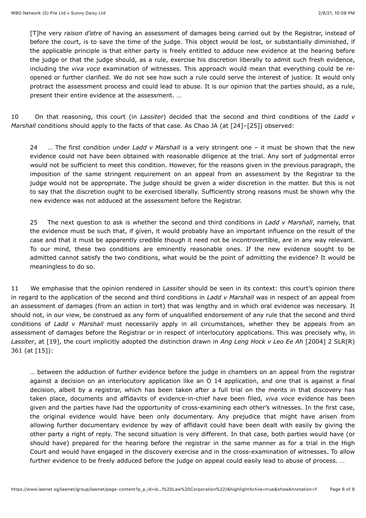[T]he very *raison d'etre* of having an assessment of damages being carried out by the Registrar, instead of before the court, is to save the time of the judge. This object would be lost, or substantially diminished, if the applicable principle is that either party is freely entitled to adduce new evidence at the hearing before the judge or that the judge should, as a rule, exercise his discretion liberally to admit such fresh evidence, including the *viva voce* examination of witnesses. This approach would mean that everything could be reopened or further clarified. We do not see how such a rule could serve the interest of justice. It would only protract the assessment process and could lead to abuse. It is our opinion that the parties should, as a rule, present their entire evidence at the assessment. …

<span id="page-5-1"></span>10 On that reasoning, this court (in *Lassiter*) decided that the second and third conditions of the *Ladd v Marshall* conditions should apply to the facts of that case. As Chao JA (at [24]–[25]) observed:

24 … The first condition under *Ladd v Marshall* is a very stringent one – it must be shown that the new evidence could not have been obtained with reasonable diligence at the trial. Any sort of judgmental error would not be sufficient to meet this condition. However, for the reasons given in the previous paragraph, the imposition of the same stringent requirement on an appeal from an assessment by the Registrar to the judge would not be appropriate. The judge should be given a wider discretion in the matter. But this is not to say that the discretion ought to be exercised liberally. Sufficiently strong reasons must be shown why the new evidence was not adduced at the assessment before the Registrar.

25 The next question to ask is whether the second and third conditions in *Ladd v Marshall*, namely, that the evidence must be such that, if given, it would probably have an important influence on the result of the case and that it must be apparently credible though it need not be incontrovertible, are in any way relevant. To our mind, these two conditions are eminently reasonable ones. If the new evidence sought to be admitted cannot satisfy the two conditions, what would be the point of admitting the evidence? It would be meaningless to do so.

<span id="page-5-0"></span>11 We emphasise that the opinion rendered in *Lassiter* should be seen in its context: this court's opinion there in regard to the application of the second and third conditions in *Ladd v Marshall* was in respect of an appeal from an assessment of damages (from an action in tort) that was lengthy and in which oral evidence was necessary. It should not, in our view, be construed as any form of unqualified endorsement of any rule that the second and third conditions of *Ladd v Marshall* must necessarily apply in all circumstances, whether they be appeals from an assessment of damages before the Registrar or in respect of interlocutory applications. This was precisely why, in *Lassiter*[, at \[19\], the court implicitly adopted the distinction drawn in](javascript:viewPageContent() *Ang Leng Hock v Leo Ee Ah* [2004] 2 SLR(R) 361 (at [15]):

… between the adduction of further evidence before the judge in chambers on an appeal from the registrar against a decision on an interlocutory application like an O 14 application, and one that is against a final decision, albeit by a registrar, which has been taken after a full trial on the merits in that discovery has taken place, documents and affidavits of evidence-in-chief have been filed, *viva voce* evidence has been given and the parties have had the opportunity of cross-examining each other's witnesses. In the first case, the original evidence would have been only documentary. Any prejudice that might have arisen from allowing further documentary evidence by way of affidavit could have been dealt with easily by giving the other party a right of reply. The second situation is very different. In that case, both parties would have (or should have) prepared for the hearing before the registrar in the same manner as for a trial in the High Court and would have engaged in the discovery exercise and in the cross-examination of witnesses. To allow further evidence to be freely adduced before the judge on appeal could easily lead to abuse of process. …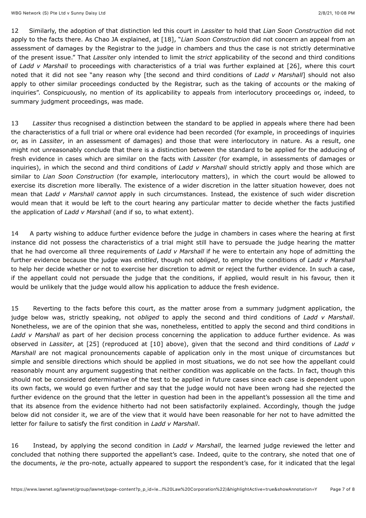12 Similarly, the adoption of that distinction led this court in *Lassiter* to hold that *Lian Soon Construction* did not apply to the facts there. As Chao JA explained, at [18], "*Lian Soon Construction* did not concern an appeal from an assessment of damages by the Registrar to the judge in chambers and thus the case is not strictly determinative of the present issue." That *Lassiter* only intended to limit the *strict* applicability of the second and third conditions of *Ladd v Marshall* to proceedings with characteristics of a trial was further explained at [26], where this court noted that it did not see "any reason why [the second and third conditions of *Ladd v Marshall*] should not also apply to other similar proceedings conducted by the Registrar, such as the taking of accounts or the making of inquiries". Conspicuously, no mention of its applicability to appeals from interlocutory proceedings or, indeed, to summary judgment proceedings, was made.

<span id="page-6-0"></span>13 *Lassiter* thus recognised a distinction between the standard to be applied in appeals where there had been the characteristics of a full trial or where oral evidence had been recorded (for example, in proceedings of inquiries or, as in *Lassiter*, in an assessment of damages) and those that were interlocutory in nature. As a result, one might not unreasonably conclude that there is a distinction between the standard to be applied for the adducing of fresh evidence in cases which are similar on the facts with *Lassiter* (for example, in assessments of damages or inquiries), in which the second and third conditions of *Ladd v Marshall* should strictly apply and those which are similar to *Lian Soon Construction* (for example, interlocutory matters), in which the court would be allowed to exercise its discretion more liberally. The existence of a wider discretion in the latter situation however, does not mean that *Ladd v Marshall cannot* apply in such circumstances. Instead, the existence of such wider discretion would mean that it would be left to the court hearing any particular matter to decide whether the facts justified the application of *Ladd v Marshall* (and if so, to what extent).

<span id="page-6-1"></span>14 A party wishing to adduce further evidence before the judge in chambers in cases where the hearing at first instance did not possess the characteristics of a trial might still have to persuade the judge hearing the matter that he had overcome all three requirements of *Ladd v Marshall* if he were to entertain any hope of admitting the further evidence because the judge was *entitled*, though not *obliged*, to employ the conditions of *Ladd v Marshall* to help her decide whether or not to exercise her discretion to admit or reject the further evidence. In such a case, if the appellant could not persuade the judge that the conditions, if applied, would result in his favour, then it would be unlikely that the judge would allow his application to adduce the fresh evidence.

<span id="page-6-2"></span>15 Reverting to the facts before this court, as the matter arose from a summary judgment application, the judge below was, strictly speaking, not *obliged* to apply the second and third conditions of *Ladd v Marshall*. Nonetheless, we are of the opinion that she was, nonetheless, entitled to apply the second and third conditions in *Ladd v Marshall* as part of her decision process concerning the application to adduce further evidence. As was observed in *Lassiter*, at [25] (reproduced at [\[10\]](#page-5-1) above), given that the second and third conditions of *Ladd v Marshall* are not magical pronouncements capable of application only in the most unique of circumstances but simple and sensible directions which should be applied in most situations, we do not see how the appellant could reasonably mount any argument suggesting that neither condition was applicable on the facts. In fact, though this should not be considered determinative of the test to be applied in future cases since each case is dependent upon its own facts, we would go even further and say that the judge would not have been wrong had she rejected the further evidence on the ground that the letter in question had been in the appellant's possession all the time and that its absence from the evidence hitherto had not been satisfactorily explained. Accordingly, though the judge below did not consider it, we are of the view that it would have been reasonable for her not to have admitted the letter for failure to satisfy the first condition in *Ladd v Marshall*.

<span id="page-6-3"></span>16 Instead, by applying the second condition in *Ladd v Marshall*, the learned judge reviewed the letter and concluded that nothing there supported the appellant's case. Indeed, quite to the contrary, she noted that one of the documents, *ie* the pro-note, actually appeared to support the respondent's case, for it indicated that the legal